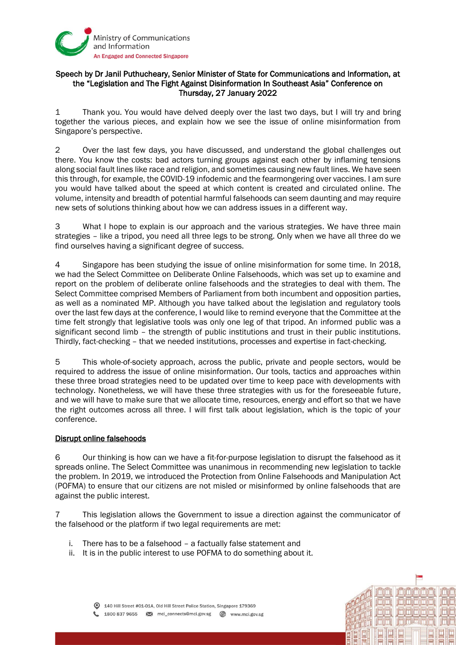

## Speech by Dr Janil Puthucheary, Senior Minister of State for Communications and Information, at the "Legislation and The Fight Against Disinformation In Southeast Asia" Conference on Thursday, 27 January 2022

1 Thank you. You would have delved deeply over the last two days, but I will try and bring together the various pieces, and explain how we see the issue of online misinformation from Singapore's perspective.

2 Over the last few days, you have discussed, and understand the global challenges out there. You know the costs: bad actors turning groups against each other by inflaming tensions along social fault lines like race and religion, and sometimes causing new fault lines. We have seen this through, for example, the COVID-19 infodemic and the fearmongering over vaccines. I am sure you would have talked about the speed at which content is created and circulated online. The volume, intensity and breadth of potential harmful falsehoods can seem daunting and may require new sets of solutions thinking about how we can address issues in a different way.

3 What I hope to explain is our approach and the various strategies. We have three main strategies – like a tripod, you need all three legs to be strong. Only when we have all three do we find ourselves having a significant degree of success.

4 Singapore has been studying the issue of online misinformation for some time. In 2018, we had the Select Committee on Deliberate Online Falsehoods, which was set up to examine and report on the problem of deliberate online falsehoods and the strategies to deal with them. The Select Committee comprised Members of Parliament from both incumbent and opposition parties, as well as a nominated MP. Although you have talked about the legislation and regulatory tools over the last few days at the conference, I would like to remind everyone that the Committee at the time felt strongly that legislative tools was only one leg of that tripod. An informed public was a significant second limb – the strength of public institutions and trust in their public institutions. Thirdly, fact-checking – that we needed institutions, processes and expertise in fact-checking.

5 This whole-of-society approach, across the public, private and people sectors, would be required to address the issue of online misinformation. Our tools, tactics and approaches within these three broad strategies need to be updated over time to keep pace with developments with technology. Nonetheless, we will have these three strategies with us for the foreseeable future, and we will have to make sure that we allocate time, resources, energy and effort so that we have the right outcomes across all three. I will first talk about legislation, which is the topic of your conference.

## Disrupt online falsehoods

6 Our thinking is how can we have a fit-for-purpose legislation to disrupt the falsehood as it spreads online. The Select Committee was unanimous in recommending new legislation to tackle the problem. In 2019, we introduced the Protection from Online Falsehoods and Manipulation Act (POFMA) to ensure that our citizens are not misled or misinformed by online falsehoods that are against the public interest.

7 This legislation allows the Government to issue a direction against the communicator of the falsehood or the platform if two legal requirements are met:

- i. There has to be a falsehood a factually false statement and
- ii. It is in the public interest to use POFMA to do something about it.



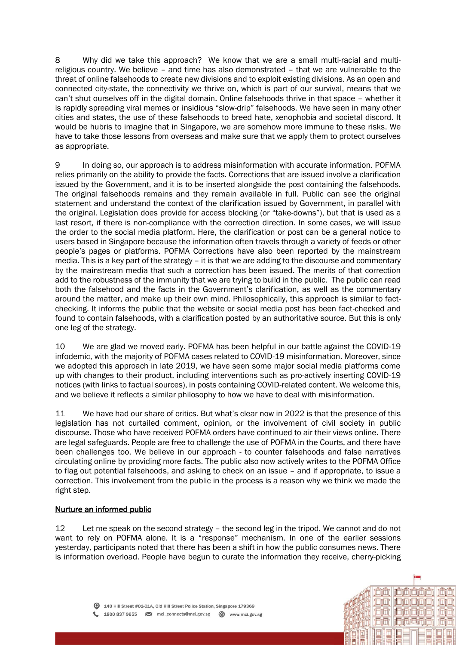8 Why did we take this approach? We know that we are a small multi-racial and multireligious country. We believe – and time has also demonstrated – that we are vulnerable to the threat of online falsehoods to create new divisions and to exploit existing divisions. As an open and connected city-state, the connectivity we thrive on, which is part of our survival, means that we can't shut ourselves off in the digital domain. Online falsehoods thrive in that space – whether it is rapidly spreading viral memes or insidious "slow-drip" falsehoods. We have seen in many other cities and states, the use of these falsehoods to breed hate, xenophobia and societal discord. It would be hubris to imagine that in Singapore, we are somehow more immune to these risks. We have to take those lessons from overseas and make sure that we apply them to protect ourselves as appropriate.

9 In doing so, our approach is to address misinformation with accurate information. POFMA relies primarily on the ability to provide the facts. Corrections that are issued involve a clarification issued by the Government, and it is to be inserted alongside the post containing the falsehoods. The original falsehoods remains and they remain available in full. Public can see the original statement and understand the context of the clarification issued by Government, in parallel with the original. Legislation does provide for access blocking (or "take-downs"), but that is used as a last resort, if there is non-compliance with the correction direction. In some cases, we will issue the order to the social media platform. Here, the clarification or post can be a general notice to users based in Singapore because the information often travels through a variety of feeds or other people's pages or platforms. POFMA Corrections have also been reported by the mainstream media. This is a key part of the strategy – it is that we are adding to the discourse and commentary by the mainstream media that such a correction has been issued. The merits of that correction add to the robustness of the immunity that we are trying to build in the public. The public can read both the falsehood and the facts in the Government's clarification, as well as the commentary around the matter, and make up their own mind. Philosophically, this approach is similar to factchecking. It informs the public that the website or social media post has been fact-checked and found to contain falsehoods, with a clarification posted by an authoritative source. But this is only one leg of the strategy.

10 We are glad we moved early. POFMA has been helpful in our battle against the COVID-19 infodemic, with the majority of POFMA cases related to COVID-19 misinformation. Moreover, since we adopted this approach in late 2019, we have seen some major social media platforms come up with changes to their product, including interventions such as pro-actively inserting COVID-19 notices (with links to factual sources), in posts containing COVID-related content. We welcome this, and we believe it reflects a similar philosophy to how we have to deal with misinformation.

11 We have had our share of critics. But what's clear now in 2022 is that the presence of this legislation has not curtailed comment, opinion, or the involvement of civil society in public discourse. Those who have received POFMA orders have continued to air their views online. There are legal safeguards. People are free to challenge the use of POFMA in the Courts, and there have been challenges too. We believe in our approach - to counter falsehoods and false narratives circulating online by providing more facts. The public also now actively writes to the POFMA Office to flag out potential falsehoods, and asking to check on an issue – and if appropriate, to issue a correction. This involvement from the public in the process is a reason why we think we made the right step.

## Nurture an informed public

12 Let me speak on the second strategy – the second leg in the tripod. We cannot and do not want to rely on POFMA alone. It is a "response" mechanism. In one of the earlier sessions yesterday, participants noted that there has been a shift in how the public consumes news. There is information overload. People have begun to curate the information they receive, cherry-picking

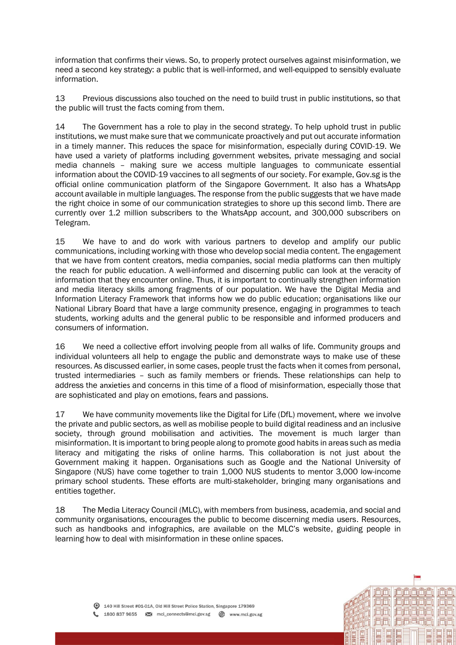information that confirms their views. So, to properly protect ourselves against misinformation, we need a second key strategy: a public that is well-informed, and well-equipped to sensibly evaluate information.

13 Previous discussions also touched on the need to build trust in public institutions, so that the public will trust the facts coming from them.

14 The Government has a role to play in the second strategy. To help uphold trust in public institutions, we must make sure that we communicate proactively and put out accurate information in a timely manner. This reduces the space for misinformation, especially during COVID-19. We have used a variety of platforms including government websites, private messaging and social media channels – making sure we access multiple languages to communicate essential information about the COVID-19 vaccines to all segments of our society. For example, Gov.sg is the official online communication platform of the Singapore Government. It also has a WhatsApp account available in multiple languages. The response from the public suggests that we have made the right choice in some of our communication strategies to shore up this second limb. There are currently over 1.2 million subscribers to the WhatsApp account, and 300,000 subscribers on Telegram.

15 We have to and do work with various partners to develop and amplify our public communications, including working with those who develop social media content. The engagement that we have from content creators, media companies, social media platforms can then multiply the reach for public education. A well-informed and discerning public can look at the veracity of information that they encounter online. Thus, it is important to continually strengthen information and media literacy skills among fragments of our population. We have the Digital Media and Information Literacy Framework that informs how we do public education; organisations like our National Library Board that have a large community presence, engaging in programmes to teach students, working adults and the general public to be responsible and informed producers and consumers of information.

16 We need a collective effort involving people from all walks of life. Community groups and individual volunteers all help to engage the public and demonstrate ways to make use of these resources. As discussed earlier, in some cases, people trust the facts when it comes from personal, trusted intermediaries – such as family members or friends. These relationships can help to address the anxieties and concerns in this time of a flood of misinformation, especially those that are sophisticated and play on emotions, fears and passions.

17 We have community movements like the Digital for Life (DfL) movement, where we involve the private and public sectors, as well as mobilise people to build digital readiness and an inclusive society, through ground mobilisation and activities. The movement is much larger than misinformation. It is important to bring people along to promote good habits in areas such as media literacy and mitigating the risks of online harms. This collaboration is not just about the Government making it happen. Organisations such as Google and the National University of Singapore (NUS) have come together to train 1,000 NUS students to mentor 3,000 low-income primary school students. These efforts are multi-stakeholder, bringing many organisations and entities together.

18 The Media Literacy Council (MLC), with members from business, academia, and social and community organisations, encourages the public to become discerning media users. Resources, such as handbooks and infographics, are available on the MLC's website, guiding people in learning how to deal with misinformation in these online spaces.

ni Tini Tir

<u>il Hildrin t</u>

**in Finishin**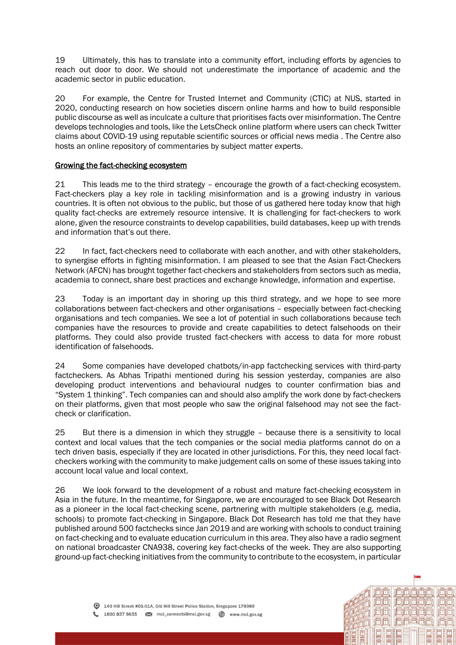19 Ultimately, this has to translate into a community effort, including efforts by agencies to reach out door to door. We should not underestimate the importance of academic and the academic sector in public education.

20 For example, the Centre for Trusted Internet and Community (CTIC) at NUS, started in 2020, conducting research on how societies discern online harms and how to build responsible public discourse as well as inculcate a culture that prioritises facts over misinformation. The Centre develops technologies and tools, like the LetsCheck online platform where users can check Twitter claims about COVID-19 using reputable scientific sources or official news media . The Centre also hosts an online repository of commentaries by subject matter experts.

## Growing the fact-checking ecosystem

21 This leads me to the third strategy – encourage the growth of a fact-checking ecosystem. Fact-checkers play a key role in tackling misinformation and is a growing industry in various countries. It is often not obvious to the public, but those of us gathered here today know that high quality fact-checks are extremely resource intensive. It is challenging for fact-checkers to work alone, given the resource constraints to develop capabilities, build databases, keep up with trends and information that's out there.

22 In fact, fact-checkers need to collaborate with each another, and with other stakeholders, to synergise efforts in fighting misinformation. I am pleased to see that the Asian Fact-Checkers Network (AFCN) has brought together fact-checkers and stakeholders from sectors such as media, academia to connect, share best practices and exchange knowledge, information and expertise.

23 Today is an important day in shoring up this third strategy, and we hope to see more collaborations between fact-checkers and other organisations – especially between fact-checking organisations and tech companies. We see a lot of potential in such collaborations because tech companies have the resources to provide and create capabilities to detect falsehoods on their platforms. They could also provide trusted fact-checkers with access to data for more robust identification of falsehoods.

24 Some companies have developed chatbots/in-app factchecking services with third-party factcheckers. As Abhas Tripathi mentioned during his session yesterday, companies are also developing product interventions and behavioural nudges to counter confirmation bias and "System 1 thinking". Tech companies can and should also amplify the work done by fact-checkers on their platforms, given that most people who saw the original falsehood may not see the factcheck or clarification.

25 But there is a dimension in which they struggle – because there is a sensitivity to local context and local values that the tech companies or the social media platforms cannot do on a tech driven basis, especially if they are located in other jurisdictions. For this, they need local factcheckers working with the community to make judgement calls on some of these issues taking into account local value and local context.

26 We look forward to the development of a robust and mature fact-checking ecosystem in Asia in the future. In the meantime, for Singapore, we are encouraged to see Black Dot Research as a pioneer in the local fact-checking scene, partnering with multiple stakeholders (e.g. media, schools) to promote fact-checking in Singapore. Black Dot Research has told me that they have published around 500 factchecks since Jan 2019 and are working with schools to conduct training on fact-checking and to evaluate education curriculum in this area. They also have a radio segment on national broadcaster CNA938, covering key fact-checks of the week. They are also supporting ground-up fact-checking initiatives from the community to contribute to the ecosystem, in particular